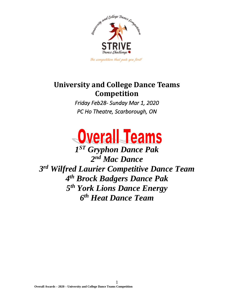

## **University and College Dance Teams Competition**

*Friday Feb28- Sunday Mar 1, 2020 PC Ho Theatre, Scarborough, ON* 



 *ST Gryphon Dance Pak nd Mac Dance rd Wilfred Laurier Competitive Dance Team th Brock Badgers Dance Pak th York Lions Dance Energy th Heat Dance Team*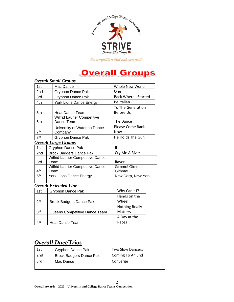

# **Overall Groups**

|                                      | Overau əman Groups                                                   |                                |  |
|--------------------------------------|----------------------------------------------------------------------|--------------------------------|--|
| 1st                                  | Mac Dance                                                            | Whole New World                |  |
| 2nd                                  | Gryphon Dance Pak                                                    | One                            |  |
| 3rd                                  | Gryphon Dance Pak                                                    | <b>Back Where I Started</b>    |  |
| 4th                                  | York Lions Dance Energy                                              | <b>Be Italian</b>              |  |
|                                      | <b>To The Generation</b>                                             |                                |  |
| 5th                                  | Heat Dance Team                                                      | Before Us                      |  |
| 6th                                  | <b>Wilfrid Laurier Competitive</b><br>Dance Team                     | The Dance                      |  |
| 7 <sup>th</sup>                      | University of Waterloo Dance<br>Company                              | Please Come Back<br><b>Now</b> |  |
| 8 <sup>th</sup><br>Gryphon Dance Pak |                                                                      | He Holds The Gun               |  |
|                                      | <b>Overall Large Groups</b>                                          |                                |  |
| 1st                                  | Gryphon Dance Pak                                                    | lf                             |  |
| 2nd                                  | <b>Brock Badgers Dance Pak</b>                                       | Cry Me A River                 |  |
| 3rd                                  | <b>Wilfrid Laurier Competitive Dance</b><br>Team                     | Raven                          |  |
| 4 <sup>th</sup>                      | Wilfrid Laurier Competitive Dance<br>Gimme! Gimme!<br>Gimme!<br>Team |                                |  |
| 5 <sup>th</sup>                      | York Lions Dance Energy                                              | New Dorp, New York             |  |
|                                      | <b>Overall Extended Line</b>                                         |                                |  |
| 1st                                  | Gryphon Dance Pak                                                    | Why Can't I?                   |  |
|                                      |                                                                      | Hands on the                   |  |
| 2 <sub>nd</sub>                      | <b>Brock Badgers Dance Pak</b>                                       | Wheel                          |  |
|                                      |                                                                      | <b>Nothing Really</b>          |  |
| 3 <sup>rd</sup>                      | <b>Matters</b><br>Queens Competitive Dance Team                      |                                |  |
|                                      |                                                                      | A Day at the                   |  |

#### *Overall Small Groups*

#### *Overall Duet/Trios*

Heat Dance Team

4<sup>th</sup>

| 1st             | Gryphon Dance Pak              | <b>Two Slow Dancers</b> |
|-----------------|--------------------------------|-------------------------|
| 2 <sub>nd</sub> | <b>Brock Badgers Dance Pak</b> | Coming To An End        |
| 3rd             | Mac Dance                      | Converge                |

Races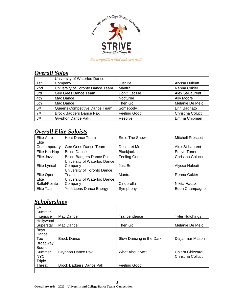

#### *Overall Solos*

|                 | University of Waterloo Dance     |                     |                   |
|-----------------|----------------------------------|---------------------|-------------------|
| 1st             | Company                          | Just Be             | Alyssa Huleatt    |
| 2nd             | University of Toronto Dance Team | Mantra              | Renna Cukier      |
| 3rd             | Gee Gees Dance Team              | Don't' Let Me       | Alex St-Laurent   |
| 4th             | Mac Dance                        | Nocturne            | Ally Moore        |
| 5th             | Mac Dance                        | Then Go             | Melanie De Melo   |
| 6 <sup>th</sup> | Queens Competitive Dance Team    | Somebody            | Erin Bagnato      |
| 7 <sup>th</sup> | <b>Brock Badgers Dance Pak</b>   | <b>Feeling Good</b> | Christina Colucci |
| 8 <sup>th</sup> | <b>Gryphon Dance Pak</b>         | Resolve             | Emma Chipman      |

### *Overall Elite Soloists*

| Elite Acro           | <b>Heat Dance Team</b>         | <b>Stole The Show</b> | <b>Mitchell Prescott</b> |
|----------------------|--------------------------------|-----------------------|--------------------------|
| Elite                |                                |                       |                          |
| Contemporary         | Gee Gees Dance Team            | Don't Let Me          | Alex St-Laurent          |
| Elite Hip-Hop        | <b>Brock Dance</b>             | <b>Blackjack</b>      | <b>Emlyn Toner</b>       |
| Elite Jazz           | <b>Brock Badgers Dance Pak</b> | <b>Feeling Good</b>   | Christina Colucci        |
|                      | University of Waterloo Dance   |                       |                          |
| Elite Lyrical        | Company                        | Just Be               | Alyssa Huleatt           |
|                      | University of Toronto Dance    |                       |                          |
| Elite Open           | Team                           | Mantra                | Renna Cukier             |
| Elite                | University of Waterloo Dance   |                       |                          |
| <b>Ballet/Pointe</b> | Company                        | Cinderella            | Nikita Hausz             |
| Elite Tap            | <b>York Lions Dance Energy</b> | Symphony              | Eden Champagne           |

#### *Scholarships*

| LA              |                         |                          |                        |
|-----------------|-------------------------|--------------------------|------------------------|
| Summer          |                         |                          |                        |
| Intensive       | Mac Dance               | Trancendence             | <b>Tyler Hutchings</b> |
| Hollywood       |                         |                          |                        |
| Superstar       | Mac Dance               | Then Go                  | Melanie De Melo        |
| <b>Boys</b>     |                         |                          |                        |
| Dance           |                         |                          |                        |
| Too             | <b>Brock Dance</b>      | Slow Dancing in the Dark | Daijahmar Mason        |
| <b>Broadway</b> |                         |                          |                        |
| Bound-          |                         |                          |                        |
| Summer          | Gryphon Dance Pak       | What About Me?           | Chiara Ghizzardi       |
| <b>NYC</b>      |                         |                          | Christina Collucci     |
| Triple          |                         |                          |                        |
| Threat          | Brock Badgers Dance Pak | Feeling Good             |                        |
|                 |                         |                          |                        |